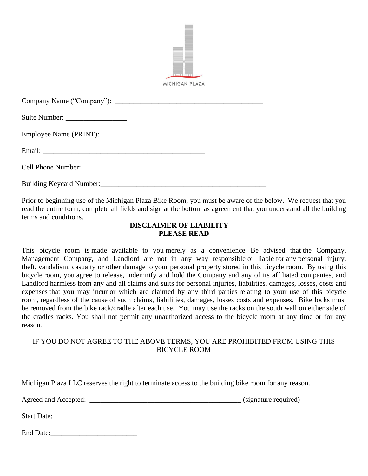|                                        | MICHIGAN PLAZA |  |
|----------------------------------------|----------------|--|
|                                        |                |  |
|                                        |                |  |
|                                        |                |  |
|                                        |                |  |
|                                        |                |  |
| Building Keycard Number: New York 1988 |                |  |

Prior to beginning use of the Michigan Plaza Bike Room, you must be aware of the below. We request that you read the entire form, complete all fields and sign at the bottom as agreement that you understand all the building terms and conditions.

p.

## **DISCLAIMER OF LIABILITY PLEASE READ**

This bicycle room is made available to you merely as a convenience. Be advised that the Company, Management Company, and Landlord are not in any way responsible or liable for any personal injury, theft, vandalism, casualty or other damage to your personal property stored in this bicycle room. By using this bicycle room, you agree to release, indemnify and hold the Company and any of its affiliated companies, and Landlord harmless from any and all claims and suits for personal injuries, liabilities, damages, losses, costs and expenses that you may incur or which are claimed by any third parties relating to your use of this bicycle room, regardless of the cause of such claims, liabilities, damages, losses costs and expenses. Bike locks must be removed from the bike rack/cradle after each use. You may use the racks on the south wall on either side of the cradles racks. You shall not permit any unauthorized access to the bicycle room at any time or for any reason.

## IF YOU DO NOT AGREE TO THE ABOVE TERMS, YOU ARE PROHIBITED FROM USING THIS BICYCLE ROOM

Michigan Plaza LLC reserves the right to terminate access to the building bike room for any reason.

Agreed and Accepted: \_\_\_\_\_\_\_\_\_\_\_\_\_\_\_\_\_\_\_\_\_\_\_\_\_\_\_\_\_\_\_\_\_\_\_\_\_\_\_\_\_\_ (signature required)

Start Date:

End Date: